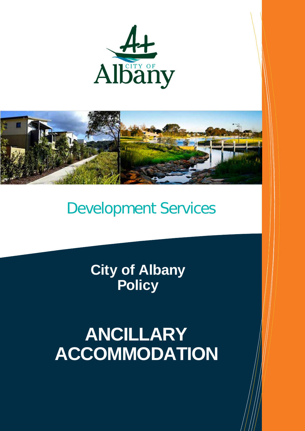



## Development Services

**City of Albany Policy**

# **ANCILLARY ACCOMMODATION**